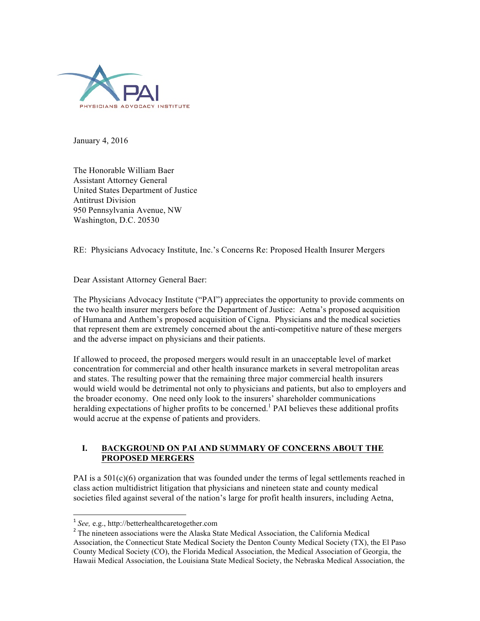

January 4, 2016

The Honorable William Baer Assistant Attorney General United States Department of Justice Antitrust Division 950 Pennsylvania Avenue, NW Washington, D.C. 20530

RE: Physicians Advocacy Institute, Inc.'s Concerns Re: Proposed Health Insurer Mergers

Dear Assistant Attorney General Baer:

The Physicians Advocacy Institute ("PAI") appreciates the opportunity to provide comments on the two health insurer mergers before the Department of Justice: Aetna's proposed acquisition of Humana and Anthem's proposed acquisition of Cigna. Physicians and the medical societies that represent them are extremely concerned about the anti-competitive nature of these mergers and the adverse impact on physicians and their patients.

If allowed to proceed, the proposed mergers would result in an unacceptable level of market concentration for commercial and other health insurance markets in several metropolitan areas and states. The resulting power that the remaining three major commercial health insurers would wield would be detrimental not only to physicians and patients, but also to employers and the broader economy. One need only look to the insurers' shareholder communications heralding expectations of higher profits to be concerned.<sup>1</sup> PAI believes these additional profits would accrue at the expense of patients and providers.

# **I. BACKGROUND ON PAI AND SUMMARY OF CONCERNS ABOUT THE PROPOSED MERGERS**

PAI is a  $501(c)(6)$  organization that was founded under the terms of legal settlements reached in class action multidistrict litigation that physicians and nineteen state and county medical societies filed against several of the nation's large for profit health insurers, including Aetna,

 <sup>1</sup> *See,* e.g., http://betterhealthcaretogether.com

<sup>&</sup>lt;sup>2</sup> The nineteen associations were the Alaska State Medical Association, the California Medical Association, the Connecticut State Medical Society the Denton County Medical Society (TX), the El Paso County Medical Society (CO), the Florida Medical Association, the Medical Association of Georgia, the Hawaii Medical Association, the Louisiana State Medical Society, the Nebraska Medical Association, the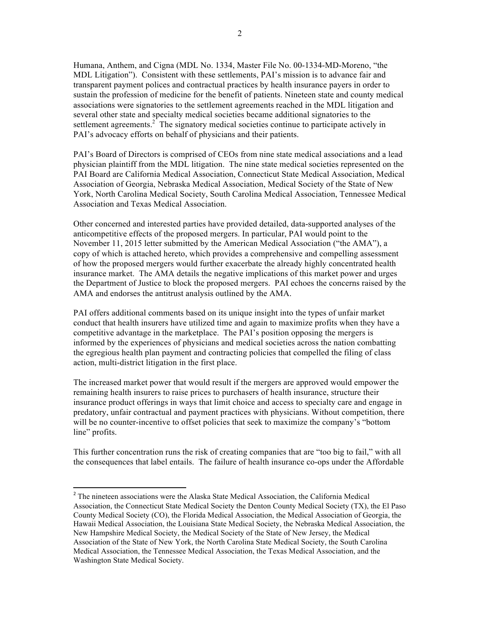Humana, Anthem, and Cigna (MDL No. 1334, Master File No. 00-1334-MD-Moreno, "the MDL Litigation"). Consistent with these settlements, PAI's mission is to advance fair and transparent payment polices and contractual practices by health insurance payers in order to sustain the profession of medicine for the benefit of patients. Nineteen state and county medical associations were signatories to the settlement agreements reached in the MDL litigation and several other state and specialty medical societies became additional signatories to the settlement agreements. $2^{\degree}$  The signatory medical societies continue to participate actively in PAI's advocacy efforts on behalf of physicians and their patients.

PAI's Board of Directors is comprised of CEOs from nine state medical associations and a lead physician plaintiff from the MDL litigation. The nine state medical societies represented on the PAI Board are California Medical Association, Connecticut State Medical Association, Medical Association of Georgia, Nebraska Medical Association, Medical Society of the State of New York, North Carolina Medical Society, South Carolina Medical Association, Tennessee Medical Association and Texas Medical Association.

Other concerned and interested parties have provided detailed, data-supported analyses of the anticompetitive effects of the proposed mergers. In particular, PAI would point to the November 11, 2015 letter submitted by the American Medical Association ("the AMA"), a copy of which is attached hereto, which provides a comprehensive and compelling assessment of how the proposed mergers would further exacerbate the already highly concentrated health insurance market. The AMA details the negative implications of this market power and urges the Department of Justice to block the proposed mergers. PAI echoes the concerns raised by the AMA and endorses the antitrust analysis outlined by the AMA.

PAI offers additional comments based on its unique insight into the types of unfair market conduct that health insurers have utilized time and again to maximize profits when they have a competitive advantage in the marketplace. The PAI's position opposing the mergers is informed by the experiences of physicians and medical societies across the nation combatting the egregious health plan payment and contracting policies that compelled the filing of class action, multi-district litigation in the first place.

The increased market power that would result if the mergers are approved would empower the remaining health insurers to raise prices to purchasers of health insurance, structure their insurance product offerings in ways that limit choice and access to specialty care and engage in predatory, unfair contractual and payment practices with physicians. Without competition, there will be no counter-incentive to offset policies that seek to maximize the company's "bottom line" profits.

This further concentration runs the risk of creating companies that are "too big to fail," with all the consequences that label entails. The failure of health insurance co-ops under the Affordable

 

 $2^2$  The nineteen associations were the Alaska State Medical Association, the California Medical Association, the Connecticut State Medical Society the Denton County Medical Society (TX), the El Paso County Medical Society (CO), the Florida Medical Association, the Medical Association of Georgia, the Hawaii Medical Association, the Louisiana State Medical Society, the Nebraska Medical Association, the New Hampshire Medical Society, the Medical Society of the State of New Jersey, the Medical Association of the State of New York, the North Carolina State Medical Society, the South Carolina Medical Association, the Tennessee Medical Association, the Texas Medical Association, and the Washington State Medical Society.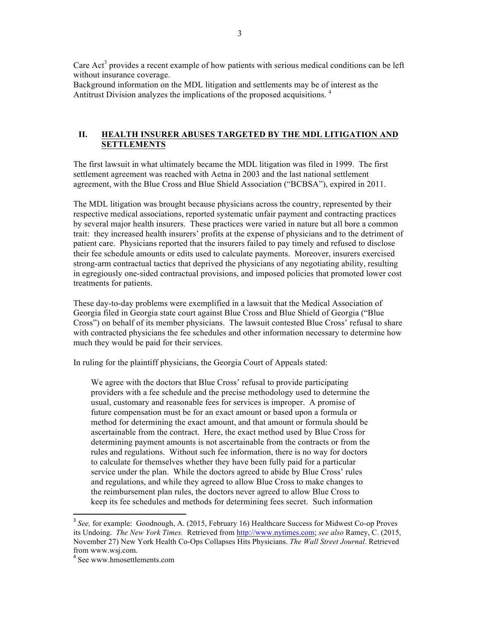Care Act<sup>3</sup> provides a recent example of how patients with serious medical conditions can be left without insurance coverage.

Background information on the MDL litigation and settlements may be of interest as the Antitrust Division analyzes the implications of the proposed acquisitions. 4

#### **II. HEALTH INSURER ABUSES TARGETED BY THE MDL LITIGATION AND SETTLEMENTS**

The first lawsuit in what ultimately became the MDL litigation was filed in 1999. The first settlement agreement was reached with Aetna in 2003 and the last national settlement agreement, with the Blue Cross and Blue Shield Association ("BCBSA"), expired in 2011.

The MDL litigation was brought because physicians across the country, represented by their respective medical associations, reported systematic unfair payment and contracting practices by several major health insurers. These practices were varied in nature but all bore a common trait: they increased health insurers' profits at the expense of physicians and to the detriment of patient care. Physicians reported that the insurers failed to pay timely and refused to disclose their fee schedule amounts or edits used to calculate payments. Moreover, insurers exercised strong-arm contractual tactics that deprived the physicians of any negotiating ability, resulting in egregiously one-sided contractual provisions, and imposed policies that promoted lower cost treatments for patients.

These day-to-day problems were exemplified in a lawsuit that the Medical Association of Georgia filed in Georgia state court against Blue Cross and Blue Shield of Georgia ("Blue Cross") on behalf of its member physicians. The lawsuit contested Blue Cross' refusal to share with contracted physicians the fee schedules and other information necessary to determine how much they would be paid for their services.

In ruling for the plaintiff physicians, the Georgia Court of Appeals stated:

We agree with the doctors that Blue Cross' refusal to provide participating providers with a fee schedule and the precise methodology used to determine the usual, customary and reasonable fees for services is improper. A promise of future compensation must be for an exact amount or based upon a formula or method for determining the exact amount, and that amount or formula should be ascertainable from the contract. Here, the exact method used by Blue Cross for determining payment amounts is not ascertainable from the contracts or from the rules and regulations. Without such fee information, there is no way for doctors to calculate for themselves whether they have been fully paid for a particular service under the plan. While the doctors agreed to abide by Blue Cross' rules and regulations, and while they agreed to allow Blue Cross to make changes to the reimbursement plan rules, the doctors never agreed to allow Blue Cross to keep its fee schedules and methods for determining fees secret. Such information

<sup>&</sup>lt;sup>3</sup> See, for example: Goodnough, A. (2015, February 16) Healthcare Success for Midwest Co-op Proves its Undoing. *The New York Times.* Retrieved from http://www.nytimes.com; *see also* Ramey, C. (2015, November 27) New York Health Co-Ops Collapses Hits Physicians. *The Wall Street Journal*. Retrieved from www.wsj.com.

<sup>4</sup> See www.hmosettlements.com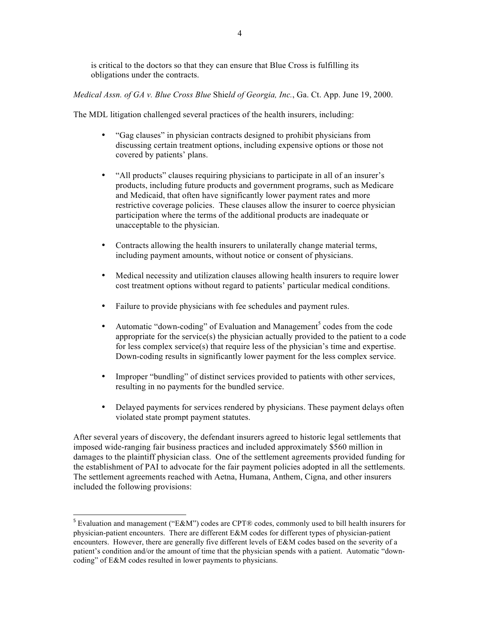is critical to the doctors so that they can ensure that Blue Cross is fulfilling its obligations under the contracts.

*Medical Assn. of GA v. Blue Cross Blue* Shie*ld of Georgia, Inc.*, Ga. Ct. App. June 19, 2000.

The MDL litigation challenged several practices of the health insurers, including:

- "Gag clauses" in physician contracts designed to prohibit physicians from discussing certain treatment options, including expensive options or those not covered by patients' plans.
- "All products" clauses requiring physicians to participate in all of an insurer's products, including future products and government programs, such as Medicare and Medicaid, that often have significantly lower payment rates and more restrictive coverage policies. These clauses allow the insurer to coerce physician participation where the terms of the additional products are inadequate or unacceptable to the physician.
- Contracts allowing the health insurers to unilaterally change material terms, including payment amounts, without notice or consent of physicians.
- Medical necessity and utilization clauses allowing health insurers to require lower cost treatment options without regard to patients' particular medical conditions.
- Failure to provide physicians with fee schedules and payment rules.
- Automatic "down-coding" of Evaluation and Management<sup>5</sup> codes from the code appropriate for the service(s) the physician actually provided to the patient to a code for less complex service(s) that require less of the physician's time and expertise. Down-coding results in significantly lower payment for the less complex service.
- Improper "bundling" of distinct services provided to patients with other services, resulting in no payments for the bundled service.
- Delayed payments for services rendered by physicians. These payment delays often violated state prompt payment statutes.

After several years of discovery, the defendant insurers agreed to historic legal settlements that imposed wide-ranging fair business practices and included approximately \$560 million in damages to the plaintiff physician class. One of the settlement agreements provided funding for the establishment of PAI to advocate for the fair payment policies adopted in all the settlements. The settlement agreements reached with Aetna, Humana, Anthem, Cigna, and other insurers included the following provisions:

 $5$  Evaluation and management ("E&M") codes are CPT® codes, commonly used to bill health insurers for physician-patient encounters. There are different E&M codes for different types of physician-patient encounters. However, there are generally five different levels of E&M codes based on the severity of a patient's condition and/or the amount of time that the physician spends with a patient. Automatic "downcoding" of E&M codes resulted in lower payments to physicians.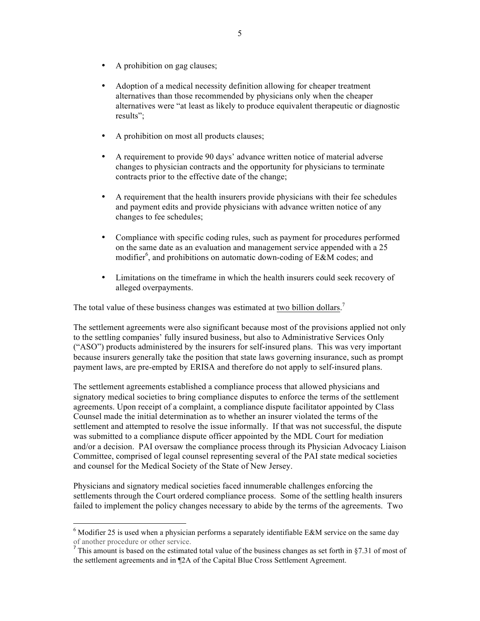- A prohibition on gag clauses;
- Adoption of a medical necessity definition allowing for cheaper treatment alternatives than those recommended by physicians only when the cheaper alternatives were "at least as likely to produce equivalent therapeutic or diagnostic results";
- A prohibition on most all products clauses;
- A requirement to provide 90 days' advance written notice of material adverse changes to physician contracts and the opportunity for physicians to terminate contracts prior to the effective date of the change;
- A requirement that the health insurers provide physicians with their fee schedules and payment edits and provide physicians with advance written notice of any changes to fee schedules;
- Compliance with specific coding rules, such as payment for procedures performed on the same date as an evaluation and management service appended with a 25 modifier<sup>6</sup>, and prohibitions on automatic down-coding of E&M codes; and
- Limitations on the timeframe in which the health insurers could seek recovery of alleged overpayments.

The total value of these business changes was estimated at two billion dollars.<sup>7</sup>

The settlement agreements were also significant because most of the provisions applied not only to the settling companies' fully insured business, but also to Administrative Services Only ("ASO") products administered by the insurers for self-insured plans. This was very important because insurers generally take the position that state laws governing insurance, such as prompt payment laws, are pre-empted by ERISA and therefore do not apply to self-insured plans.

The settlement agreements established a compliance process that allowed physicians and signatory medical societies to bring compliance disputes to enforce the terms of the settlement agreements. Upon receipt of a complaint, a compliance dispute facilitator appointed by Class Counsel made the initial determination as to whether an insurer violated the terms of the settlement and attempted to resolve the issue informally. If that was not successful, the dispute was submitted to a compliance dispute officer appointed by the MDL Court for mediation and/or a decision. PAI oversaw the compliance process through its Physician Advocacy Liaison Committee, comprised of legal counsel representing several of the PAI state medical societies and counsel for the Medical Society of the State of New Jersey.

Physicians and signatory medical societies faced innumerable challenges enforcing the settlements through the Court ordered compliance process. Some of the settling health insurers failed to implement the policy changes necessary to abide by the terms of the agreements. Two

 $6$  Modifier 25 is used when a physician performs a separately identifiable E&M service on the same day of another procedure or other service.

<sup>&</sup>lt;sup>7</sup> This amount is based on the estimated total value of the business changes as set forth in §7.31 of most of the settlement agreements and in ¶2A of the Capital Blue Cross Settlement Agreement.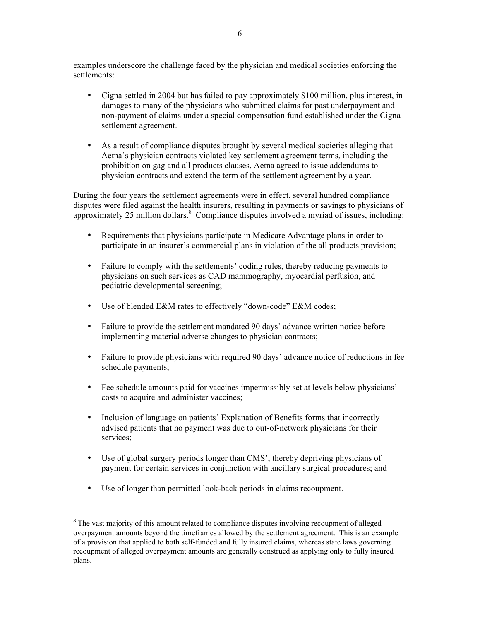examples underscore the challenge faced by the physician and medical societies enforcing the settlements:

- Cigna settled in 2004 but has failed to pay approximately \$100 million, plus interest, in damages to many of the physicians who submitted claims for past underpayment and non-payment of claims under a special compensation fund established under the Cigna settlement agreement.
- As a result of compliance disputes brought by several medical societies alleging that Aetna's physician contracts violated key settlement agreement terms, including the prohibition on gag and all products clauses, Aetna agreed to issue addendums to physician contracts and extend the term of the settlement agreement by a year.

During the four years the settlement agreements were in effect, several hundred compliance disputes were filed against the health insurers, resulting in payments or savings to physicians of approximately 25 million dollars.<sup>8</sup> Compliance disputes involved a myriad of issues, including:

- Requirements that physicians participate in Medicare Advantage plans in order to participate in an insurer's commercial plans in violation of the all products provision;
- Failure to comply with the settlements' coding rules, thereby reducing payments to physicians on such services as CAD mammography, myocardial perfusion, and pediatric developmental screening;
- Use of blended E&M rates to effectively "down-code" E&M codes;
- Failure to provide the settlement mandated 90 days' advance written notice before implementing material adverse changes to physician contracts;
- Failure to provide physicians with required 90 days' advance notice of reductions in fee schedule payments;
- Fee schedule amounts paid for vaccines impermissibly set at levels below physicians' costs to acquire and administer vaccines;
- Inclusion of language on patients' Explanation of Benefits forms that incorrectly advised patients that no payment was due to out-of-network physicians for their services;
- Use of global surgery periods longer than CMS', thereby depriving physicians of payment for certain services in conjunction with ancillary surgical procedures; and
- Use of longer than permitted look-back periods in claims recoupment.

<sup>&</sup>lt;sup>8</sup> The vast majority of this amount related to compliance disputes involving recoupment of alleged overpayment amounts beyond the timeframes allowed by the settlement agreement. This is an example of a provision that applied to both self-funded and fully insured claims, whereas state laws governing recoupment of alleged overpayment amounts are generally construed as applying only to fully insured plans.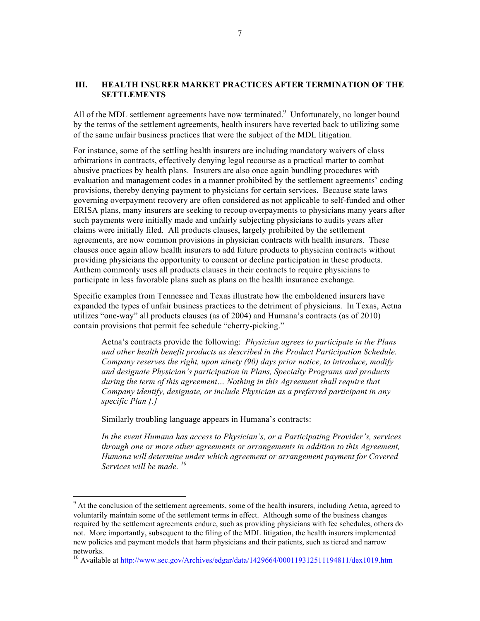#### **III. HEALTH INSURER MARKET PRACTICES AFTER TERMINATION OF THE SETTLEMENTS**

All of the MDL settlement agreements have now terminated.<sup>9</sup> Unfortunately, no longer bound by the terms of the settlement agreements, health insurers have reverted back to utilizing some of the same unfair business practices that were the subject of the MDL litigation.

For instance, some of the settling health insurers are including mandatory waivers of class arbitrations in contracts, effectively denying legal recourse as a practical matter to combat abusive practices by health plans. Insurers are also once again bundling procedures with evaluation and management codes in a manner prohibited by the settlement agreements' coding provisions, thereby denying payment to physicians for certain services. Because state laws governing overpayment recovery are often considered as not applicable to self-funded and other ERISA plans, many insurers are seeking to recoup overpayments to physicians many years after such payments were initially made and unfairly subjecting physicians to audits years after claims were initially filed. All products clauses, largely prohibited by the settlement agreements, are now common provisions in physician contracts with health insurers. These clauses once again allow health insurers to add future products to physician contracts without providing physicians the opportunity to consent or decline participation in these products. Anthem commonly uses all products clauses in their contracts to require physicians to participate in less favorable plans such as plans on the health insurance exchange.

Specific examples from Tennessee and Texas illustrate how the emboldened insurers have expanded the types of unfair business practices to the detriment of physicians. In Texas, Aetna utilizes "one-way" all products clauses (as of 2004) and Humana's contracts (as of 2010) contain provisions that permit fee schedule "cherry-picking."

Aetna's contracts provide the following: *Physician agrees to participate in the Plans and other health benefit products as described in the Product Participation Schedule. Company reserves the right, upon ninety (90) days prior notice, to introduce, modify and designate Physician's participation in Plans, Specialty Programs and products during the term of this agreement… Nothing in this Agreement shall require that Company identify, designate, or include Physician as a preferred participant in any specific Plan [.]* 

Similarly troubling language appears in Humana's contracts:

<u> 1989 - Jan Samuel Barbara, político establecido de la provincia de la provincia de la provincia de la provinci</u>

*In the event Humana has access to Physician's, or a Participating Provider's, services through one or more other agreements or arrangements in addition to this Agreement, Humana will determine under which agreement or arrangement payment for Covered Services will be made. <sup>10</sup>*

<sup>&</sup>lt;sup>9</sup> At the conclusion of the settlement agreements, some of the health insurers, including Aetna, agreed to voluntarily maintain some of the settlement terms in effect. Although some of the business changes required by the settlement agreements endure, such as providing physicians with fee schedules, others do not. More importantly, subsequent to the filing of the MDL litigation, the health insurers implemented new policies and payment models that harm physicians and their patients, such as tiered and narrow networks.

<sup>&</sup>lt;sup>10</sup> Available at http://www.sec.gov/Archives/edgar/data/1429664/000119312511194811/dex1019.htm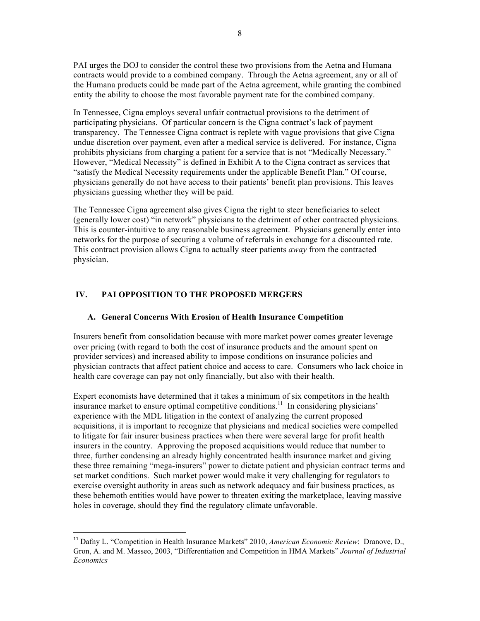PAI urges the DOJ to consider the control these two provisions from the Aetna and Humana contracts would provide to a combined company. Through the Aetna agreement, any or all of the Humana products could be made part of the Aetna agreement, while granting the combined entity the ability to choose the most favorable payment rate for the combined company.

In Tennessee, Cigna employs several unfair contractual provisions to the detriment of participating physicians. Of particular concern is the Cigna contract's lack of payment transparency. The Tennessee Cigna contract is replete with vague provisions that give Cigna undue discretion over payment, even after a medical service is delivered. For instance, Cigna prohibits physicians from charging a patient for a service that is not "Medically Necessary." However, "Medical Necessity" is defined in Exhibit A to the Cigna contract as services that "satisfy the Medical Necessity requirements under the applicable Benefit Plan." Of course, physicians generally do not have access to their patients' benefit plan provisions. This leaves physicians guessing whether they will be paid.

The Tennessee Cigna agreement also gives Cigna the right to steer beneficiaries to select (generally lower cost) "in network" physicians to the detriment of other contracted physicians. This is counter-intuitive to any reasonable business agreement. Physicians generally enter into networks for the purpose of securing a volume of referrals in exchange for a discounted rate. This contract provision allows Cigna to actually steer patients *away* from the contracted physician.

## **IV. PAI OPPOSITION TO THE PROPOSED MERGERS**

 

## **A. General Concerns With Erosion of Health Insurance Competition**

Insurers benefit from consolidation because with more market power comes greater leverage over pricing (with regard to both the cost of insurance products and the amount spent on provider services) and increased ability to impose conditions on insurance policies and physician contracts that affect patient choice and access to care. Consumers who lack choice in health care coverage can pay not only financially, but also with their health.

Expert economists have determined that it takes a minimum of six competitors in the health insurance market to ensure optimal competitive conditions.<sup>11</sup> In considering physicians' experience with the MDL litigation in the context of analyzing the current proposed acquisitions, it is important to recognize that physicians and medical societies were compelled to litigate for fair insurer business practices when there were several large for profit health insurers in the country. Approving the proposed acquisitions would reduce that number to three, further condensing an already highly concentrated health insurance market and giving these three remaining "mega-insurers" power to dictate patient and physician contract terms and set market conditions. Such market power would make it very challenging for regulators to exercise oversight authority in areas such as network adequacy and fair business practices, as these behemoth entities would have power to threaten exiting the marketplace, leaving massive holes in coverage, should they find the regulatory climate unfavorable.

<sup>&</sup>lt;sup>11</sup> Dafny L. "Competition in Health Insurance Markets" 2010, *American Economic Review*: Dranove, D., Gron, A. and M. Masseo, 2003, "Differentiation and Competition in HMA Markets" *Journal of Industrial Economics*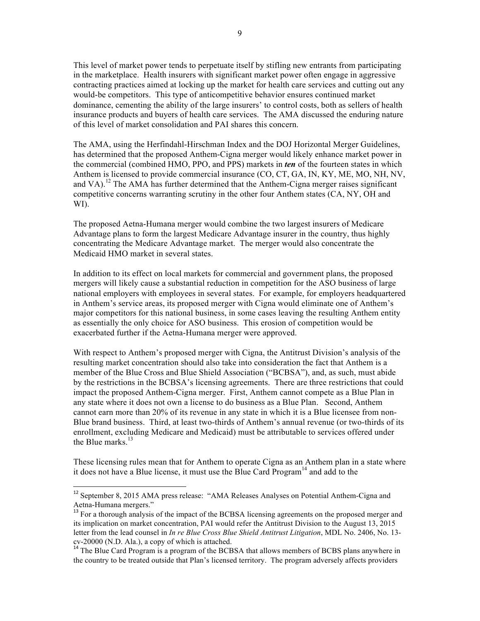This level of market power tends to perpetuate itself by stifling new entrants from participating in the marketplace. Health insurers with significant market power often engage in aggressive contracting practices aimed at locking up the market for health care services and cutting out any would-be competitors. This type of anticompetitive behavior ensures continued market dominance, cementing the ability of the large insurers' to control costs, both as sellers of health insurance products and buyers of health care services. The AMA discussed the enduring nature of this level of market consolidation and PAI shares this concern.

The AMA, using the Herfindahl-Hirschman Index and the DOJ Horizontal Merger Guidelines, has determined that the proposed Anthem-Cigna merger would likely enhance market power in the commercial (combined HMO, PPO, and PPS) markets in *ten* of the fourteen states in which Anthem is licensed to provide commercial insurance (CO, CT, GA, IN, KY, ME, MO, NH, NV, and VA).<sup>12</sup> The AMA has further determined that the Anthem-Cigna merger raises significant competitive concerns warranting scrutiny in the other four Anthem states (CA, NY, OH and WI).

The proposed Aetna-Humana merger would combine the two largest insurers of Medicare Advantage plans to form the largest Medicare Advantage insurer in the country, thus highly concentrating the Medicare Advantage market. The merger would also concentrate the Medicaid HMO market in several states.

In addition to its effect on local markets for commercial and government plans, the proposed mergers will likely cause a substantial reduction in competition for the ASO business of large national employers with employees in several states. For example, for employers headquartered in Anthem's service areas, its proposed merger with Cigna would eliminate one of Anthem's major competitors for this national business, in some cases leaving the resulting Anthem entity as essentially the only choice for ASO business. This erosion of competition would be exacerbated further if the Aetna-Humana merger were approved.

With respect to Anthem's proposed merger with Cigna, the Antitrust Division's analysis of the resulting market concentration should also take into consideration the fact that Anthem is a member of the Blue Cross and Blue Shield Association ("BCBSA"), and, as such, must abide by the restrictions in the BCBSA's licensing agreements. There are three restrictions that could impact the proposed Anthem-Cigna merger. First, Anthem cannot compete as a Blue Plan in any state where it does not own a license to do business as a Blue Plan. Second, Anthem cannot earn more than 20% of its revenue in any state in which it is a Blue licensee from non-Blue brand business. Third, at least two-thirds of Anthem's annual revenue (or two-thirds of its enrollment, excluding Medicare and Medicaid) must be attributable to services offered under the Blue marks $^{13}$ 

These licensing rules mean that for Anthem to operate Cigna as an Anthem plan in a state where it does not have a Blue license, it must use the Blue Card  $Program<sup>14</sup>$  and add to the

<sup>&</sup>lt;sup>12</sup> September 8, 2015 AMA press release: "AMA Releases Analyses on Potential Anthem-Cigna and

Aetna-Humana mergers."<br><sup>13</sup> For a thorough analysis of the impact of the BCBSA licensing agreements on the proposed merger and its implication on market concentration, PAI would refer the Antitrust Division to the August 13, 2015 letter from the lead counsel in *In re Blue Cross Blue Shield Antitrust Litigation*, MDL No. 2406, No. 13-

 $^{14}$  The Blue Card Program is a program of the BCBSA that allows members of BCBS plans anywhere in the country to be treated outside that Plan's licensed territory. The program adversely affects providers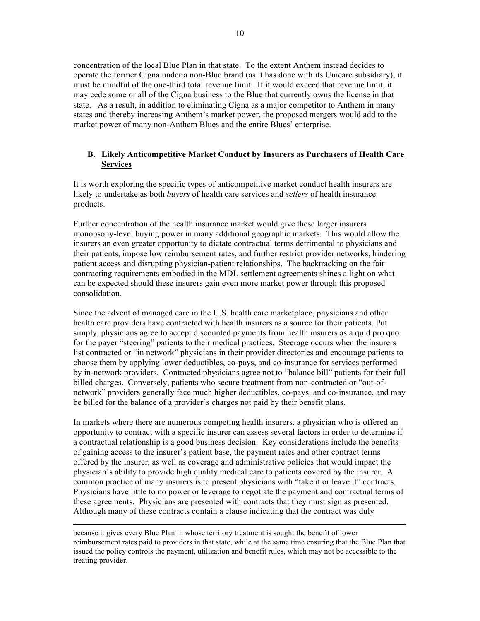concentration of the local Blue Plan in that state. To the extent Anthem instead decides to operate the former Cigna under a non-Blue brand (as it has done with its Unicare subsidiary), it must be mindful of the one-third total revenue limit. If it would exceed that revenue limit, it may cede some or all of the Cigna business to the Blue that currently owns the license in that state. As a result, in addition to eliminating Cigna as a major competitor to Anthem in many states and thereby increasing Anthem's market power, the proposed mergers would add to the market power of many non-Anthem Blues and the entire Blues' enterprise.

### **B. Likely Anticompetitive Market Conduct by Insurers as Purchasers of Health Care Services**

It is worth exploring the specific types of anticompetitive market conduct health insurers are likely to undertake as both *buyers* of health care services and *sellers* of health insurance products.

Further concentration of the health insurance market would give these larger insurers monopsony-level buying power in many additional geographic markets. This would allow the insurers an even greater opportunity to dictate contractual terms detrimental to physicians and their patients, impose low reimbursement rates, and further restrict provider networks, hindering patient access and disrupting physician-patient relationships. The backtracking on the fair contracting requirements embodied in the MDL settlement agreements shines a light on what can be expected should these insurers gain even more market power through this proposed consolidation.

Since the advent of managed care in the U.S. health care marketplace, physicians and other health care providers have contracted with health insurers as a source for their patients. Put simply, physicians agree to accept discounted payments from health insurers as a quid pro quo for the payer "steering" patients to their medical practices. Steerage occurs when the insurers list contracted or "in network" physicians in their provider directories and encourage patients to choose them by applying lower deductibles, co-pays, and co-insurance for services performed by in-network providers. Contracted physicians agree not to "balance bill" patients for their full billed charges. Conversely, patients who secure treatment from non-contracted or "out-ofnetwork" providers generally face much higher deductibles, co-pays, and co-insurance, and may be billed for the balance of a provider's charges not paid by their benefit plans.

In markets where there are numerous competing health insurers, a physician who is offered an opportunity to contract with a specific insurer can assess several factors in order to determine if a contractual relationship is a good business decision. Key considerations include the benefits of gaining access to the insurer's patient base, the payment rates and other contract terms offered by the insurer, as well as coverage and administrative policies that would impact the physician's ability to provide high quality medical care to patients covered by the insurer. A common practice of many insurers is to present physicians with "take it or leave it" contracts. Physicians have little to no power or leverage to negotiate the payment and contractual terms of these agreements. Physicians are presented with contracts that they must sign as presented. Although many of these contracts contain a clause indicating that the contract was duly

<u> 1989 - Andrea Santa Andrea Andrea Andrea Andrea Andrea Andrea Andrea Andrea Andrea Andrea Andrea Andrea Andr</u>

because it gives every Blue Plan in whose territory treatment is sought the benefit of lower reimbursement rates paid to providers in that state, while at the same time ensuring that the Blue Plan that issued the policy controls the payment, utilization and benefit rules, which may not be accessible to the treating provider.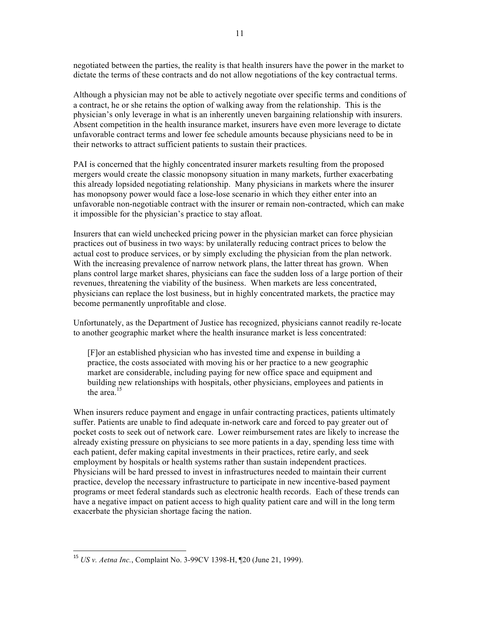negotiated between the parties, the reality is that health insurers have the power in the market to dictate the terms of these contracts and do not allow negotiations of the key contractual terms.

Although a physician may not be able to actively negotiate over specific terms and conditions of a contract, he or she retains the option of walking away from the relationship. This is the physician's only leverage in what is an inherently uneven bargaining relationship with insurers. Absent competition in the health insurance market, insurers have even more leverage to dictate unfavorable contract terms and lower fee schedule amounts because physicians need to be in their networks to attract sufficient patients to sustain their practices.

PAI is concerned that the highly concentrated insurer markets resulting from the proposed mergers would create the classic monopsony situation in many markets, further exacerbating this already lopsided negotiating relationship. Many physicians in markets where the insurer has monopsony power would face a lose-lose scenario in which they either enter into an unfavorable non-negotiable contract with the insurer or remain non-contracted, which can make it impossible for the physician's practice to stay afloat.

Insurers that can wield unchecked pricing power in the physician market can force physician practices out of business in two ways: by unilaterally reducing contract prices to below the actual cost to produce services, or by simply excluding the physician from the plan network. With the increasing prevalence of narrow network plans, the latter threat has grown. When plans control large market shares, physicians can face the sudden loss of a large portion of their revenues, threatening the viability of the business. When markets are less concentrated, physicians can replace the lost business, but in highly concentrated markets, the practice may become permanently unprofitable and close.

Unfortunately, as the Department of Justice has recognized, physicians cannot readily re-locate to another geographic market where the health insurance market is less concentrated:

[F]or an established physician who has invested time and expense in building a practice, the costs associated with moving his or her practice to a new geographic market are considerable, including paying for new office space and equipment and building new relationships with hospitals, other physicians, employees and patients in the area  $15$ 

When insurers reduce payment and engage in unfair contracting practices, patients ultimately suffer. Patients are unable to find adequate in-network care and forced to pay greater out of pocket costs to seek out of network care. Lower reimbursement rates are likely to increase the already existing pressure on physicians to see more patients in a day, spending less time with each patient, defer making capital investments in their practices, retire early, and seek employment by hospitals or health systems rather than sustain independent practices. Physicians will be hard pressed to invest in infrastructures needed to maintain their current practice, develop the necessary infrastructure to participate in new incentive-based payment programs or meet federal standards such as electronic health records. Each of these trends can have a negative impact on patient access to high quality patient care and will in the long term exacerbate the physician shortage facing the nation.

<sup>15</sup> *US v. Aetna Inc.*, Complaint No. 3-99CV 1398-H, ¶20 (June 21, 1999).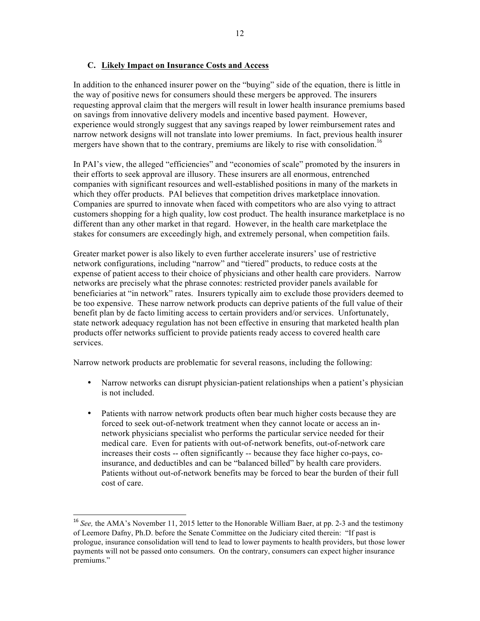## **C. Likely Impact on Insurance Costs and Access**

In addition to the enhanced insurer power on the "buying" side of the equation, there is little in the way of positive news for consumers should these mergers be approved. The insurers requesting approval claim that the mergers will result in lower health insurance premiums based on savings from innovative delivery models and incentive based payment. However, experience would strongly suggest that any savings reaped by lower reimbursement rates and narrow network designs will not translate into lower premiums. In fact, previous health insurer mergers have shown that to the contrary, premiums are likely to rise with consolidation.<sup>16</sup>

In PAI's view, the alleged "efficiencies" and "economies of scale" promoted by the insurers in their efforts to seek approval are illusory. These insurers are all enormous, entrenched companies with significant resources and well-established positions in many of the markets in which they offer products. PAI believes that competition drives marketplace innovation. Companies are spurred to innovate when faced with competitors who are also vying to attract customers shopping for a high quality, low cost product. The health insurance marketplace is no different than any other market in that regard. However, in the health care marketplace the stakes for consumers are exceedingly high, and extremely personal, when competition fails.

Greater market power is also likely to even further accelerate insurers' use of restrictive network configurations, including "narrow" and "tiered" products, to reduce costs at the expense of patient access to their choice of physicians and other health care providers. Narrow networks are precisely what the phrase connotes: restricted provider panels available for beneficiaries at "in network" rates. Insurers typically aim to exclude those providers deemed to be too expensive. These narrow network products can deprive patients of the full value of their benefit plan by de facto limiting access to certain providers and/or services. Unfortunately, state network adequacy regulation has not been effective in ensuring that marketed health plan products offer networks sufficient to provide patients ready access to covered health care services.

Narrow network products are problematic for several reasons, including the following:

- Narrow networks can disrupt physician-patient relationships when a patient's physician is not included.
- Patients with narrow network products often bear much higher costs because they are forced to seek out-of-network treatment when they cannot locate or access an innetwork physicians specialist who performs the particular service needed for their medical care. Even for patients with out-of-network benefits, out-of-network care increases their costs -- often significantly -- because they face higher co-pays, coinsurance, and deductibles and can be "balanced billed" by health care providers. Patients without out-of-network benefits may be forced to bear the burden of their full cost of care.

<sup>&</sup>lt;sup>16</sup> *See*, the AMA's November 11, 2015 letter to the Honorable William Baer, at pp. 2-3 and the testimony of Leemore Dafny, Ph.D. before the Senate Committee on the Judiciary cited therein: "If past is prologue, insurance consolidation will tend to lead to lower payments to health providers, but those lower payments will not be passed onto consumers. On the contrary, consumers can expect higher insurance premiums."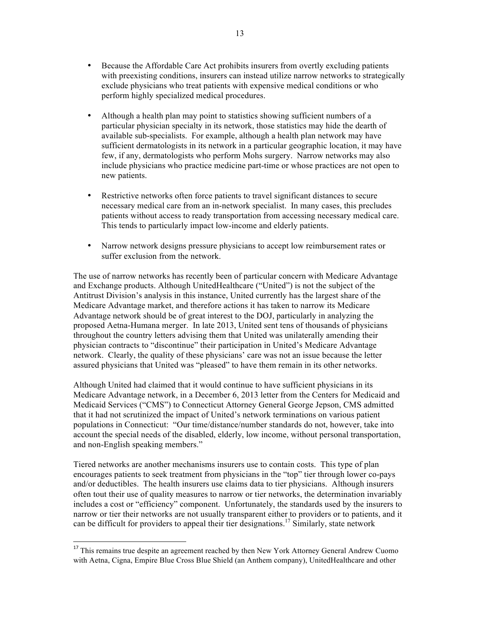- Because the Affordable Care Act prohibits insurers from overtly excluding patients with preexisting conditions, insurers can instead utilize narrow networks to strategically exclude physicians who treat patients with expensive medical conditions or who perform highly specialized medical procedures.
- Although a health plan may point to statistics showing sufficient numbers of a particular physician specialty in its network, those statistics may hide the dearth of available sub-specialists. For example, although a health plan network may have sufficient dermatologists in its network in a particular geographic location, it may have few, if any, dermatologists who perform Mohs surgery. Narrow networks may also include physicians who practice medicine part-time or whose practices are not open to new patients.
- Restrictive networks often force patients to travel significant distances to secure necessary medical care from an in-network specialist. In many cases, this precludes patients without access to ready transportation from accessing necessary medical care. This tends to particularly impact low-income and elderly patients.
- Narrow network designs pressure physicians to accept low reimbursement rates or suffer exclusion from the network.

The use of narrow networks has recently been of particular concern with Medicare Advantage and Exchange products. Although UnitedHealthcare ("United") is not the subject of the Antitrust Division's analysis in this instance, United currently has the largest share of the Medicare Advantage market, and therefore actions it has taken to narrow its Medicare Advantage network should be of great interest to the DOJ, particularly in analyzing the proposed Aetna-Humana merger. In late 2013, United sent tens of thousands of physicians throughout the country letters advising them that United was unilaterally amending their physician contracts to "discontinue" their participation in United's Medicare Advantage network. Clearly, the quality of these physicians' care was not an issue because the letter assured physicians that United was "pleased" to have them remain in its other networks.

Although United had claimed that it would continue to have sufficient physicians in its Medicare Advantage network, in a December 6, 2013 letter from the Centers for Medicaid and Medicaid Services ("CMS") to Connecticut Attorney General George Jepson, CMS admitted that it had not scrutinized the impact of United's network terminations on various patient populations in Connecticut: "Our time/distance/number standards do not, however, take into account the special needs of the disabled, elderly, low income, without personal transportation, and non-English speaking members."

Tiered networks are another mechanisms insurers use to contain costs. This type of plan encourages patients to seek treatment from physicians in the "top" tier through lower co-pays and/or deductibles. The health insurers use claims data to tier physicians. Although insurers often tout their use of quality measures to narrow or tier networks, the determination invariably includes a cost or "efficiency" component. Unfortunately, the standards used by the insurers to narrow or tier their networks are not usually transparent either to providers or to patients, and it can be difficult for providers to appeal their tier designations.<sup>17</sup> Similarly, state network

<sup>&</sup>lt;sup>17</sup> This remains true despite an agreement reached by then New York Attorney General Andrew Cuomo with Aetna, Cigna, Empire Blue Cross Blue Shield (an Anthem company), UnitedHealthcare and other